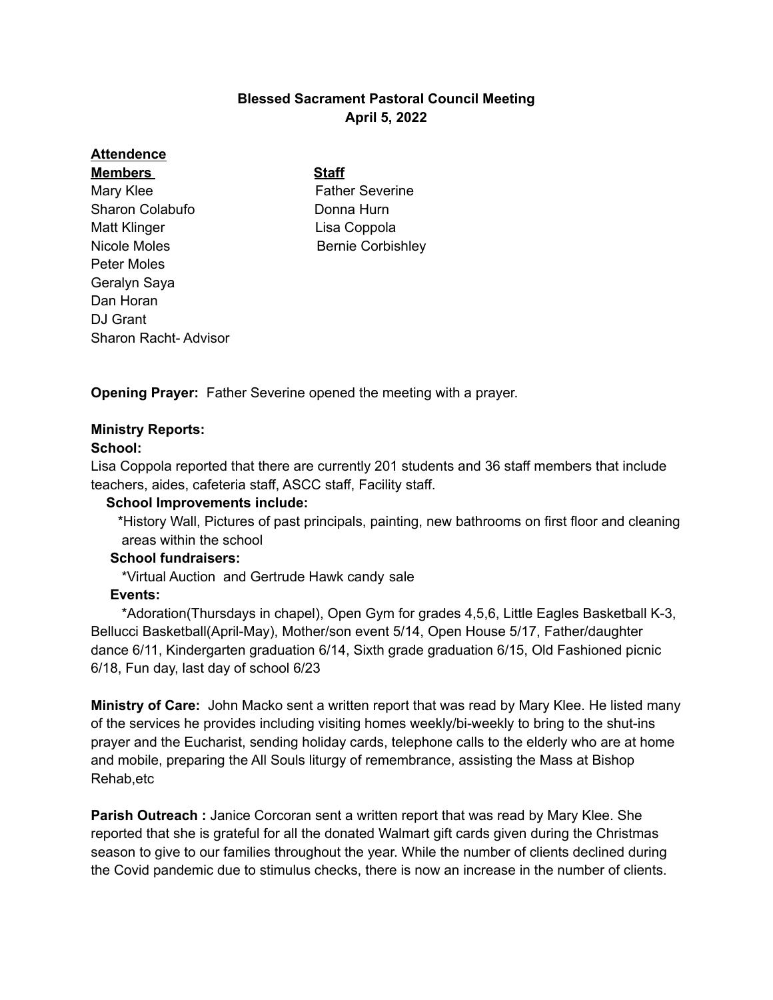# **Blessed Sacrament Pastoral Council Meeting April 5, 2022**

# **Attendence**

**Members Staff** Mary Klee **Father Severine** Sharon Colabufo **Donna Hurn** Matt Klinger **Lisa Coppola** Nicole Moles **Bernie Corbishley** Peter Moles Geralyn Saya Dan Horan DJ Grant Sharon Racht- Advisor

**Opening Prayer:** Father Severine opened the meeting with a prayer.

# **Ministry Reports:**

## **School:**

Lisa Coppola reported that there are currently 201 students and 36 staff members that include teachers, aides, cafeteria staff, ASCC staff, Facility staff.

## **School Improvements include:**

\*History Wall, Pictures of past principals, painting, new bathrooms on first floor and cleaning areas within the school

## **School fundraisers:**

\*Virtual Auction and Gertrude Hawk candy sale

## **Events:**

\*Adoration(Thursdays in chapel), Open Gym for grades 4,5,6, Little Eagles Basketball K-3, Bellucci Basketball(April-May), Mother/son event 5/14, Open House 5/17, Father/daughter dance 6/11, Kindergarten graduation 6/14, Sixth grade graduation 6/15, Old Fashioned picnic 6/18, Fun day, last day of school 6/23

**Ministry of Care:** John Macko sent a written report that was read by Mary Klee. He listed many of the services he provides including visiting homes weekly/bi-weekly to bring to the shut-ins prayer and the Eucharist, sending holiday cards, telephone calls to the elderly who are at home and mobile, preparing the All Souls liturgy of remembrance, assisting the Mass at Bishop Rehab,etc

**Parish Outreach :** Janice Corcoran sent a written report that was read by Mary Klee. She reported that she is grateful for all the donated Walmart gift cards given during the Christmas season to give to our families throughout the year. While the number of clients declined during the Covid pandemic due to stimulus checks, there is now an increase in the number of clients.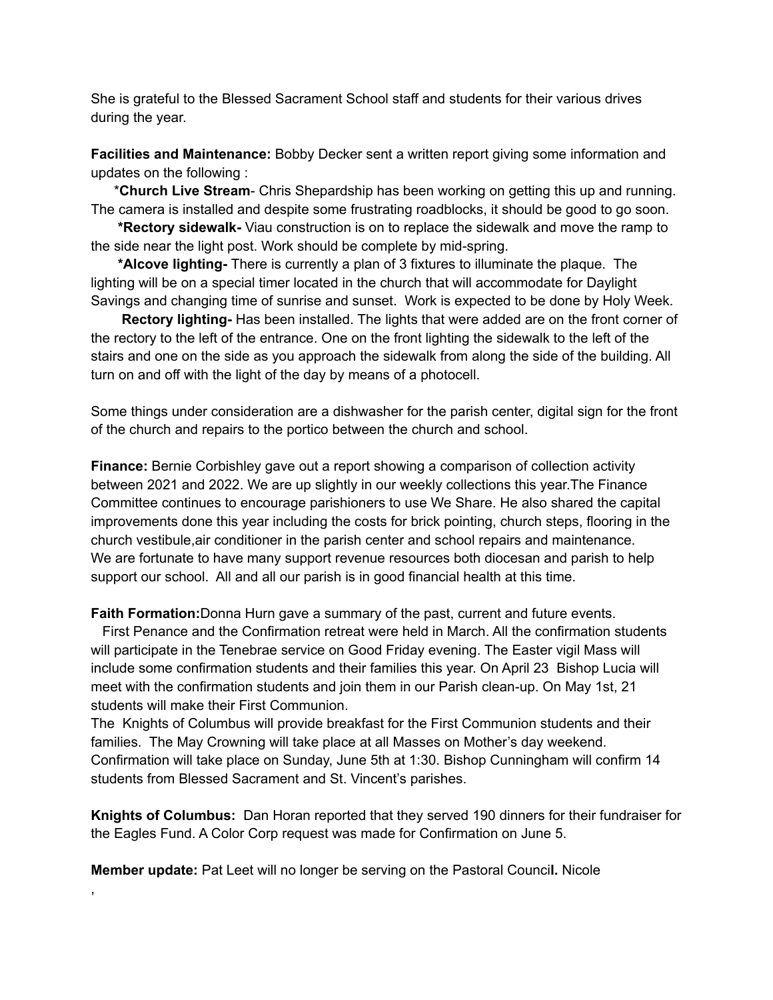She is grateful to the Blessed Sacrament School staff and students for their various drives during the year.

**Facilities and Maintenance:** Bobby Decker sent a written report giving some information and updates on the following :

\***Church Live Stream**- Chris Shepardship has been working on getting this up and running. The camera is installed and despite some frustrating roadblocks, it should be good to go soon.

**\*Rectory sidewalk-** Viau construction is on to replace the sidewalk and move the ramp to the side near the light post. Work should be complete by mid-spring.

**\*Alcove lighting-** There is currently a plan of 3 fixtures to illuminate the plaque. The lighting will be on a special timer located in the church that will accommodate for Daylight Savings and changing time of sunrise and sunset. Work is expected to be done by Holy Week.

**Rectory lighting-** Has been installed. The lights that were added are on the front corner of the rectory to the left of the entrance. One on the front lighting the sidewalk to the left of the stairs and one on the side as you approach the sidewalk from along the side of the building. All turn on and off with the light of the day by means of a photocell.

Some things under consideration are a dishwasher for the parish center, digital sign for the front of the church and repairs to the portico between the church and school.

**Finance:** Bernie Corbishley gave out a report showing a comparison of collection activity between 2021 and 2022. We are up slightly in our weekly collections this year.The Finance Committee continues to encourage parishioners to use We Share. He also shared the capital improvements done this year including the costs for brick pointing, church steps, flooring in the church vestibule,air conditioner in the parish center and school repairs and maintenance. We are fortunate to have many support revenue resources both diocesan and parish to help support our school. All and all our parish is in good financial health at this time.

**Faith Formation:**Donna Hurn gave a summary of the past, current and future events.

First Penance and the Confirmation retreat were held in March. All the confirmation students will participate in the Tenebrae service on Good Friday evening. The Easter vigil Mass will include some confirmation students and their families this year. On April 23 Bishop Lucia will meet with the confirmation students and join them in our Parish clean-up. On May 1st, 21 students will make their First Communion.

The Knights of Columbus will provide breakfast for the First Communion students and their families. The May Crowning will take place at all Masses on Mother's day weekend. Confirmation will take place on Sunday, June 5th at 1:30. Bishop Cunningham will confirm 14 students from Blessed Sacrament and St. Vincent's parishes.

**Knights of Columbus:** Dan Horan reported that they served 190 dinners for their fundraiser for the Eagles Fund. A Color Corp request was made for Confirmation on June 5.

**Member update:** Pat Leet will no longer be serving on the Pastoral Counci**l.** Nicole

,